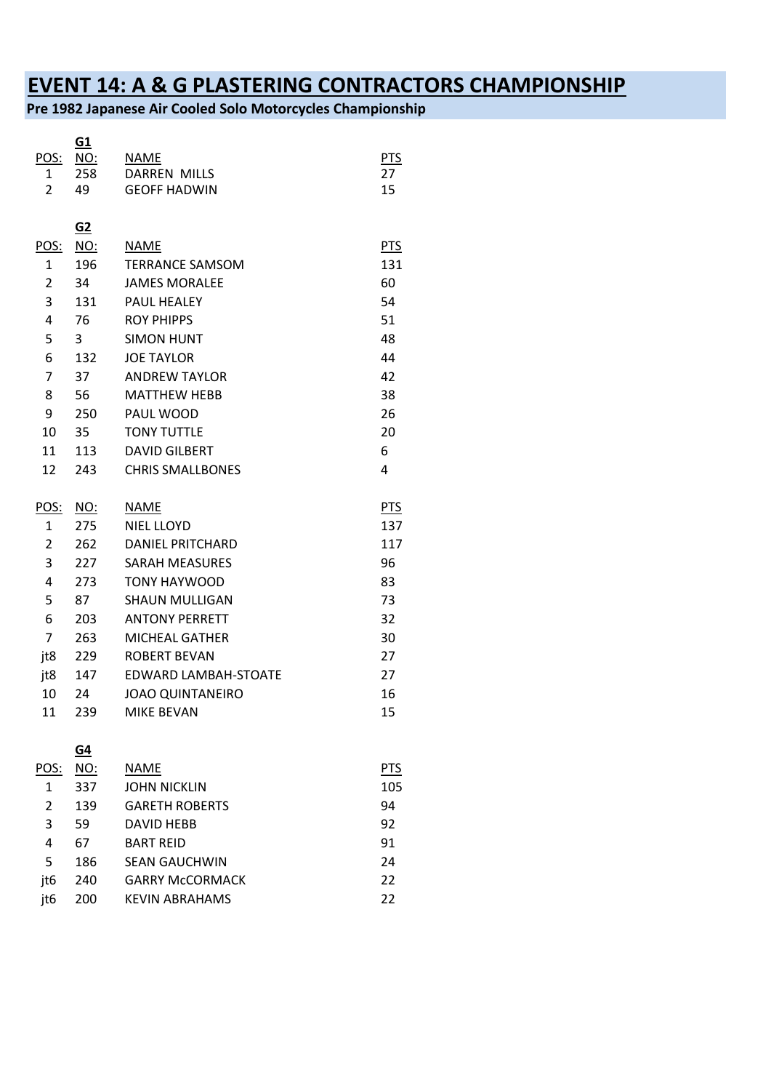## **EVENT 14: A & G PLASTERING CONTRACTORS CHAMPIONSHIP**

**Pre 1982 Japanese Air Cooled Solo Motorcycles Championship**

|                | G1               |                             |            |
|----------------|------------------|-----------------------------|------------|
| POS:           | <b>NO:</b>       | <b>NAME</b>                 | PTS        |
| 1              | 258              | <b>DARREN MILLS</b>         | 27         |
| $\overline{2}$ | 49               | <b>GEOFF HADWIN</b>         | 15         |
|                | $\underline{G2}$ |                             |            |
| POS:           | NO:              | <b>NAME</b>                 | <b>PTS</b> |
| 1              | 196              | <b>TERRANCE SAMSOM</b>      | 131        |
| $\overline{2}$ | 34               | <b>JAMES MORALEE</b>        | 60         |
| 3              | 131              | <b>PAUL HEALEY</b>          | 54         |
| 4              | 76               | <b>ROY PHIPPS</b>           | 51         |
| 5              | 3                | <b>SIMON HUNT</b>           | 48         |
| 6              | 132              | <b>JOE TAYLOR</b>           | 44         |
| 7              | 37               | <b>ANDREW TAYLOR</b>        | 42         |
| 8              | 56               | <b>MATTHEW HEBB</b>         | 38         |
| 9              | 250              | PAUL WOOD                   | 26         |
| 10             | 35               | <b>TONY TUTTLE</b>          | 20         |
| 11             | 113              | <b>DAVID GILBERT</b>        | 6          |
| 12             | 243              | <b>CHRIS SMALLBONES</b>     | 4          |
| POS:           | <u>NO:</u>       | <b>NAME</b>                 | <b>PTS</b> |
| 1              | 275              | <b>NIEL LLOYD</b>           | 137        |
| $\overline{2}$ | 262              | <b>DANIEL PRITCHARD</b>     | 117        |
| 3              | 227              | <b>SARAH MEASURES</b>       | 96         |
| 4              | 273              | <b>TONY HAYWOOD</b>         | 83         |
| 5              | 87               | <b>SHAUN MULLIGAN</b>       | 73         |
| 6              | 203              | <b>ANTONY PERRETT</b>       | 32         |
| $\overline{7}$ | 263              | <b>MICHEAL GATHER</b>       | 30         |
| jt8            | 229              | <b>ROBERT BEVAN</b>         | 27         |
| jt8            | 147              | <b>EDWARD LAMBAH-STOATE</b> | 27         |
| 10             | 24               | <b>JOAO QUINTANEIRO</b>     | 16         |
| 11             | 239              | <b>MIKE BEVAN</b>           | 15         |
|                | G4               |                             |            |
| POS:           | NO:              | <b>NAME</b>                 | <b>PTS</b> |
| $\mathbf{1}$   | 337              | <b>JOHN NICKLIN</b>         | 105        |
| $\mathcal{L}$  | 120              | GARETH RORERTS              | Q A        |

| 2   | 139 | <b>GARETH ROBERTS</b>  | 94 |
|-----|-----|------------------------|----|
| 3   | 59  | DAVID HEBB             | 92 |
| 4   | 67  | <b>BART REID</b>       | 91 |
| 5   | 186 | <b>SEAN GAUCHWIN</b>   | 24 |
| it6 | 240 | <b>GARRY McCORMACK</b> | 22 |
| it6 | 200 | KEVIN ABRAHAMS         | 22 |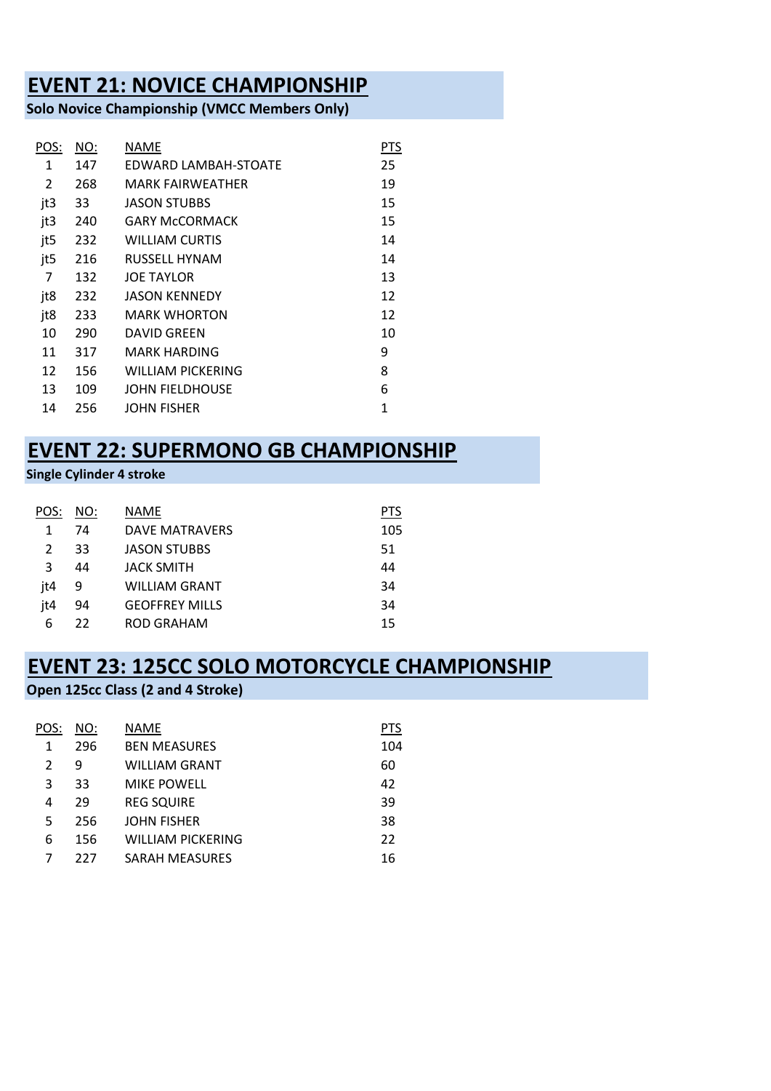#### **EVENT 21: NOVICE CHAMPIONSHIP**

**Solo Novice Championship (VMCC Members Only)**

| <u>NO:</u> | NAME                    | PTS |
|------------|-------------------------|-----|
| 147        | EDWARD LAMBAH-STOATE    | 25  |
| 268        | <b>MARK FAIRWEATHER</b> | 19  |
| 33         | <b>JASON STUBBS</b>     | 15  |
| 240        | <b>GARY McCORMACK</b>   | 15  |
| 232        | <b>WILLIAM CURTIS</b>   | 14  |
| 216        | <b>RUSSELL HYNAM</b>    | 14  |
| 132        | <b>JOE TAYLOR</b>       | 13  |
| 232        | <b>JASON KENNEDY</b>    | 12  |
| 233        | <b>MARK WHORTON</b>     | 12  |
| 290        | <b>DAVID GREEN</b>      | 10  |
| 317        | <b>MARK HARDING</b>     | 9   |
| 156        | WILLIAM PICKFRING       | 8   |
| 109        | JOHN FIELDHOUSE         | 6   |
| 256        | <b>JOHN FISHER</b>      | 1   |
|            |                         |     |

### **EVENT 22: SUPERMONO GB CHAMPIONSHIP**

**Single Cylinder 4 stroke** 

| POS: | NO: | <b>NAME</b>           | PTS |
|------|-----|-----------------------|-----|
| 1    | 74  | DAVE MATRAVERS        | 105 |
| 2    | 33  | <b>JASON STUBBS</b>   | 51  |
| 3    | 44  | <b>JACK SMITH</b>     | 44  |
| it4  | 9   | WILLIAM GRANT         | 34  |
| it4  | 94  | <b>GEOFFREY MILLS</b> | 34  |
| 6    | 22  | ROD GRAHAM            | 15  |

#### **EVENT 23: 125CC SOLO MOTORCYCLE CHAMPIONSHIP**

#### **Open 125cc Class (2 and 4 Stroke)**

| POS: | NO: | NAME                     | <b>PTS</b> |
|------|-----|--------------------------|------------|
| 1    | 296 | <b>BEN MEASURES</b>      | 104        |
| 2    | 9   | WILLIAM GRANT            | 60         |
| 3    | 33  | <b>MIKE POWELL</b>       | 42         |
| 4    | 29  | <b>REG SQUIRE</b>        | 39         |
| 5    | 256 | <b>JOHN FISHER</b>       | 38         |
| 6    | 156 | <b>WILLIAM PICKERING</b> | 22         |
|      | 227 | <b>SARAH MEASURES</b>    | 16         |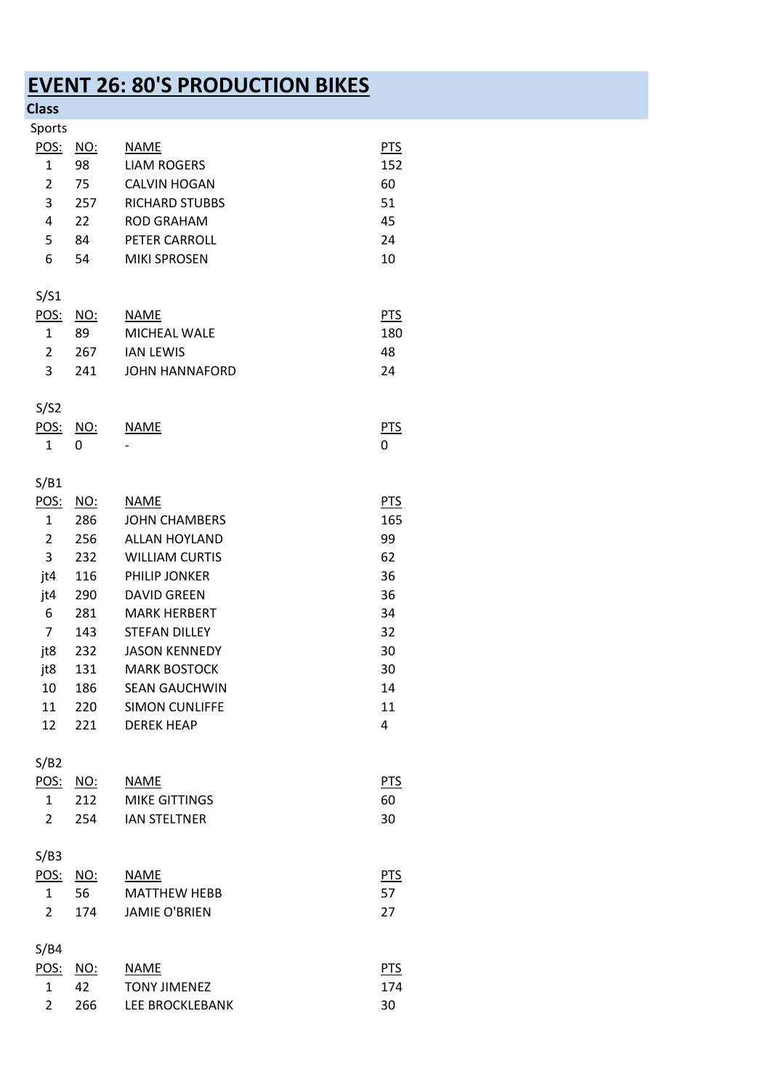# **EVENT 26: 80'S PRODUCTION BIKES**

| æ<br>-1<br><b>Contract Contract Contract Contract Contract Contract Contract Contract Contract Contract Contract Contract Co</b> |  |  |  |  |  |
|----------------------------------------------------------------------------------------------------------------------------------|--|--|--|--|--|
|----------------------------------------------------------------------------------------------------------------------------------|--|--|--|--|--|

| ciass          |            |                       |            |
|----------------|------------|-----------------------|------------|
| Sports         |            |                       |            |
| <u>POS:</u>    | <u>NO:</u> | <b>NAME</b>           | <b>PTS</b> |
| $\mathbf{1}$   | 98         | <b>LIAM ROGERS</b>    | 152        |
| $\overline{2}$ | 75         | <b>CALVIN HOGAN</b>   | 60         |
|                |            |                       |            |
| 3              | 257        | <b>RICHARD STUBBS</b> | 51         |
| 4              | 22         | <b>ROD GRAHAM</b>     | 45         |
| 5              | 84         | PETER CARROLL         | 24         |
| 6              | 54         | <b>MIKI SPROSEN</b>   | 10         |
|                |            |                       |            |
| S/S1           |            |                       |            |
| POS:           | <u>NO:</u> | <b>NAME</b>           | <b>PTS</b> |
| $\mathbf{1}$   | 89         | MICHEAL WALE          | 180        |
| $\overline{2}$ | 267        | <b>IAN LEWIS</b>      | 48         |
| 3              | 241        | <b>JOHN HANNAFORD</b> | 24         |
|                |            |                       |            |
| S/S2           |            |                       |            |
| POS:           | <u>NO:</u> | <b>NAME</b>           | <u>PTS</u> |
| $\mathbf{1}$   | 0          |                       | 0          |
|                |            |                       |            |
| S/B1           |            |                       |            |
| POS:           |            | <b>NAME</b>           | <b>PTS</b> |
|                | <u>NO:</u> |                       |            |
| $\mathbf{1}$   | 286        | <b>JOHN CHAMBERS</b>  | 165        |
| $\overline{2}$ | 256        | <b>ALLAN HOYLAND</b>  | 99         |
| 3              | 232        | <b>WILLIAM CURTIS</b> | 62         |
| jt4            | 116        | PHILIP JONKER         | 36         |
| jt4            | 290        | <b>DAVID GREEN</b>    | 36         |
| 6              | 281        | <b>MARK HERBERT</b>   | 34         |
| 7              | 143        | <b>STEFAN DILLEY</b>  | 32         |
| jt8            | 232        | <b>JASON KENNEDY</b>  | 30         |
| jt8            | 131        | <b>MARK BOSTOCK</b>   | 30         |
| 10             | 186        | <b>SEAN GAUCHWIN</b>  | 14         |
| 11             | 220        | <b>SIMON CUNLIFFE</b> | 11         |
| 12             | 221        | <b>DEREK HEAP</b>     | 4          |
|                |            |                       |            |
| S/B2           |            |                       |            |
|                |            | <b>NAME</b>           |            |
| POS: NO:       |            |                       | <b>PTS</b> |
| $\mathbf{1}$   | 212        | <b>MIKE GITTINGS</b>  | 60         |
| $\overline{2}$ | 254        | <b>IAN STELTNER</b>   | 30         |
|                |            |                       |            |
| S/B3           |            |                       |            |
| POS: NO:       |            | <b>NAME</b>           | <b>PTS</b> |
| $\mathbf{1}$   | 56         | <b>MATTHEW HEBB</b>   | 57         |
| $\overline{2}$ | 174        | <b>JAMIE O'BRIEN</b>  | 27         |
|                |            |                       |            |
| S/B4           |            |                       |            |
| POS:           | <u>NO:</u> | <b>NAME</b>           | <b>PTS</b> |
| $\mathbf{1}$   | 42         | <b>TONY JIMENEZ</b>   | 174        |
| $\overline{2}$ | 266        | LEE BROCKLEBANK       | 30         |
|                |            |                       |            |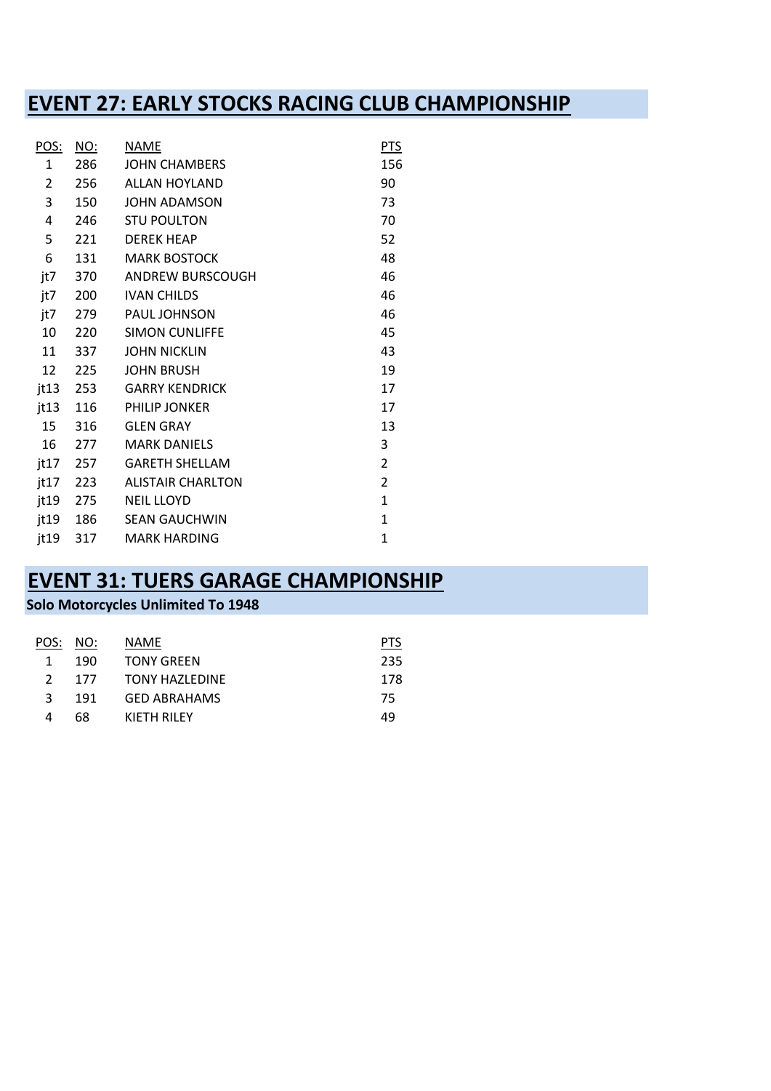#### **EVENT 27: EARLY STOCKS RACING CLUB CHAMPIONSHIP**

| <u>POS:</u>    | <u>NO:</u> | <b>NAME</b>              | <b>PTS</b>     |
|----------------|------------|--------------------------|----------------|
| $\mathbf{1}$   | 286        | <b>JOHN CHAMBERS</b>     | 156            |
| $\overline{2}$ | 256        | <b>ALLAN HOYLAND</b>     | 90             |
| 3              | 150        | <b>JOHN ADAMSON</b>      | 73             |
| 4              | 246        | <b>STU POULTON</b>       | 70             |
| 5              | 221        | <b>DEREK HEAP</b>        | 52             |
| 6              | 131        | <b>MARK BOSTOCK</b>      | 48             |
| jt7            | 370        | <b>ANDREW BURSCOUGH</b>  | 46             |
| jt7            | 200        | <b>IVAN CHILDS</b>       | 46             |
| jt7            | 279        | PAUL JOHNSON             | 46             |
| 10             | 220        | <b>SIMON CUNLIFFE</b>    | 45             |
| 11             | 337        | <b>JOHN NICKLIN</b>      | 43             |
| 12             | 225        | <b>JOHN BRUSH</b>        | 19             |
| jt13 253       |            | <b>GARRY KENDRICK</b>    | 17             |
| jt13 116       |            | <b>PHILIP JONKER</b>     | 17             |
| 15             | 316        | <b>GLEN GRAY</b>         | 13             |
| 16             | 277        | <b>MARK DANIELS</b>      | 3              |
| jt17 257       |            | <b>GARETH SHELLAM</b>    | $\overline{2}$ |
| jt17 223       |            | <b>ALISTAIR CHARLTON</b> | $\overline{2}$ |
| jt19 275       |            | <b>NEIL LLOYD</b>        | $\mathbf{1}$   |
| jt19 186       |            | <b>SEAN GAUCHWIN</b>     | $\mathbf{1}$   |
| jt19           | 317        | <b>MARK HARDING</b>      | $\mathbf{1}$   |

## **EVENT 31: TUERS GARAGE CHAMPIONSHIP**

#### **Solo Motorcycles Unlimited To 1948**

| POS: NO:      |     | NAME                  | PIS |
|---------------|-----|-----------------------|-----|
| 1             | 190 | <b>TONY GREEN</b>     | 235 |
| $\mathcal{L}$ | 177 | <b>TONY HAZLEDINE</b> | 178 |
| ર             | 191 | <b>GED ABRAHAMS</b>   | 75  |
| 4             | 68  | KIFTH RILFY           | 49  |